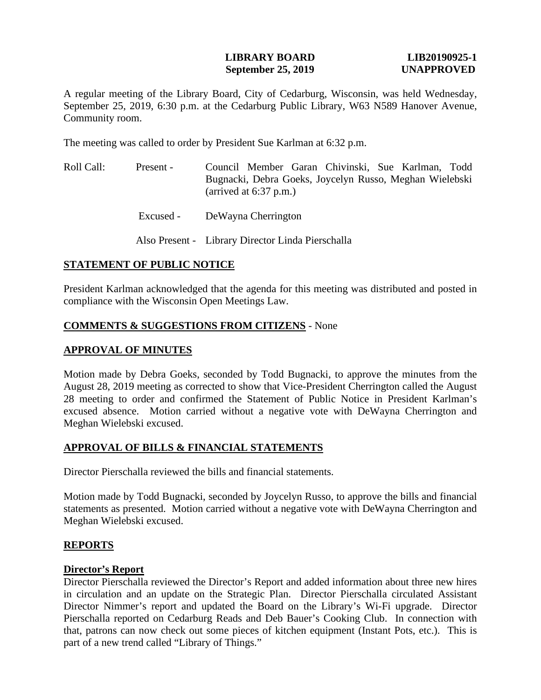## **LIBRARY BOARD LIB20190925-1 September 25, 2019 UNAPPROVED**

A regular meeting of the Library Board, City of Cedarburg, Wisconsin, was held Wednesday, September 25, 2019, 6:30 p.m. at the Cedarburg Public Library, W63 N589 Hanover Avenue, Community room.

The meeting was called to order by President Sue Karlman at 6:32 p.m.

| Roll Call: | Present - | Council Member Garan Chivinski, Sue Karlman, Todd                                   |
|------------|-----------|-------------------------------------------------------------------------------------|
|            |           | Bugnacki, Debra Goeks, Joycelyn Russo, Meghan Wielebski<br>(arrived at $6:37$ p.m.) |

 Excused - DeWayna Cherrington

Also Present - Library Director Linda Pierschalla

## **STATEMENT OF PUBLIC NOTICE**

President Karlman acknowledged that the agenda for this meeting was distributed and posted in compliance with the Wisconsin Open Meetings Law.

## **COMMENTS & SUGGESTIONS FROM CITIZENS** - None

## **APPROVAL OF MINUTES**

Motion made by Debra Goeks, seconded by Todd Bugnacki, to approve the minutes from the August 28, 2019 meeting as corrected to show that Vice-President Cherrington called the August 28 meeting to order and confirmed the Statement of Public Notice in President Karlman's excused absence. Motion carried without a negative vote with DeWayna Cherrington and Meghan Wielebski excused.

# **APPROVAL OF BILLS & FINANCIAL STATEMENTS**

Director Pierschalla reviewed the bills and financial statements.

Motion made by Todd Bugnacki, seconded by Joycelyn Russo, to approve the bills and financial statements as presented. Motion carried without a negative vote with DeWayna Cherrington and Meghan Wielebski excused.

## **REPORTS**

#### **Director's Report**

Director Pierschalla reviewed the Director's Report and added information about three new hires in circulation and an update on the Strategic Plan. Director Pierschalla circulated Assistant Director Nimmer's report and updated the Board on the Library's Wi-Fi upgrade. Director Pierschalla reported on Cedarburg Reads and Deb Bauer's Cooking Club. In connection with that, patrons can now check out some pieces of kitchen equipment (Instant Pots, etc.). This is part of a new trend called "Library of Things."